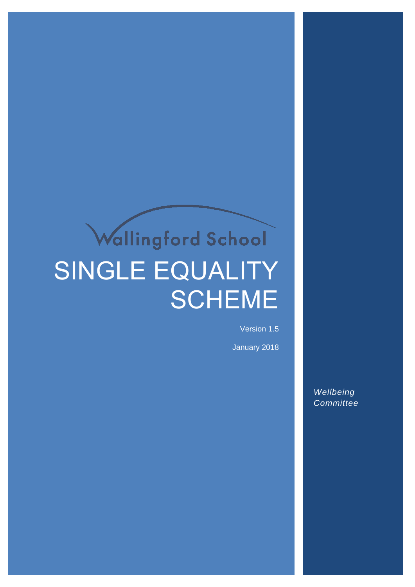# Wallingford School SINGLE EQUALITY **SCHEME**

Version 1.5

January 2018

*Wellbeing Committee*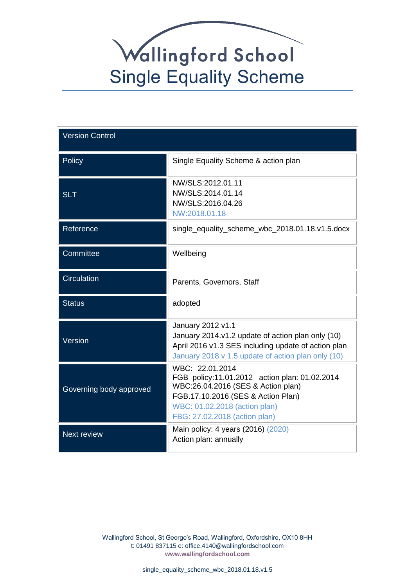| <b>Version Control</b>  |                                                                                                                                                                                                                |  |
|-------------------------|----------------------------------------------------------------------------------------------------------------------------------------------------------------------------------------------------------------|--|
| Policy                  | Single Equality Scheme & action plan                                                                                                                                                                           |  |
| <b>SLT</b>              | NW/SLS:2012.01.11<br>NW/SLS:2014.01.14<br>NW/SLS:2016.04.26<br>NW:2018.01.18                                                                                                                                   |  |
| Reference               | single_equality_scheme_wbc_2018.01.18.v1.5.docx                                                                                                                                                                |  |
| Committee               | Wellbeing                                                                                                                                                                                                      |  |
| <b>Circulation</b>      | Parents, Governors, Staff                                                                                                                                                                                      |  |
| <b>Status</b>           | adopted                                                                                                                                                                                                        |  |
| Version                 | January 2012 v1.1<br>January 2014.v1.2 update of action plan only (10)<br>April 2016 v1.3 SES including update of action plan<br>January 2018 v 1.5 update of action plan only (10)                            |  |
| Governing body approved | WBC: 22.01.2014<br>FGB policy:11.01.2012 action plan: 01.02.2014<br>WBC:26.04.2016 (SES & Action plan)<br>FGB.17.10.2016 (SES & Action Plan)<br>WBC: 01.02.2018 (action plan)<br>FBG: 27.02.2018 (action plan) |  |
| <b>Next review</b>      | Main policy: 4 years (2016) (2020)<br>Action plan: annually                                                                                                                                                    |  |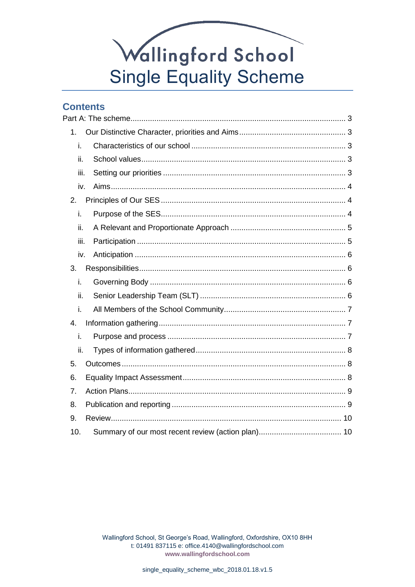## **Contents**

| 1.   |  |
|------|--|
| i.   |  |
| ii.  |  |
| iii. |  |
| iv.  |  |
| 2.   |  |
| i.   |  |
| ii.  |  |
| iii. |  |
| iv.  |  |
| 3.   |  |
| i.   |  |
| ii.  |  |
| i.   |  |
| 4.   |  |
| i.   |  |
| ii.  |  |
| 5.   |  |
| 6.   |  |
| 7.   |  |
| 8.   |  |
| 9.   |  |
| 10.  |  |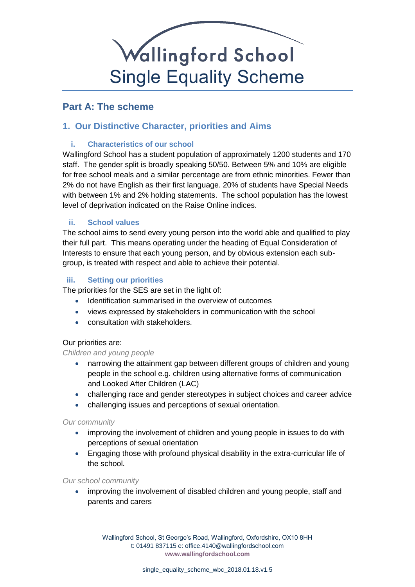

## <span id="page-3-0"></span>**Part A: The scheme**

### <span id="page-3-2"></span><span id="page-3-1"></span>**1. Our Distinctive Character, priorities and Aims**

### **i. Characteristics of our school**

Wallingford School has a student population of approximately 1200 students and 170 staff. The gender split is broadly speaking 50/50. Between 5% and 10% are eligible for free school meals and a similar percentage are from ethnic minorities. Fewer than 2% do not have English as their first language. 20% of students have Special Needs with between 1% and 2% holding statements. The school population has the lowest level of deprivation indicated on the Raise Online indices.

### <span id="page-3-3"></span>**ii. School values**

The school aims to send every young person into the world able and qualified to play their full part. This means operating under the heading of Equal Consideration of Interests to ensure that each young person, and by obvious extension each subgroup, is treated with respect and able to achieve their potential.

### <span id="page-3-4"></span>**iii. Setting our priorities**

The priorities for the SES are set in the light of:

- Identification summarised in the overview of outcomes
- views expressed by stakeholders in communication with the school
- consultation with stakeholders.

#### Our priorities are:

*Children and young people*

- narrowing the attainment gap between different groups of children and young people in the school e.g. children using alternative forms of communication and Looked After Children (LAC)
- challenging race and gender stereotypes in subject choices and career advice
- challenging issues and perceptions of sexual orientation.

#### *Our community*

- improving the involvement of children and young people in issues to do with perceptions of sexual orientation
- Engaging those with profound physical disability in the extra-curricular life of the school.

#### *Our school community*

• improving the involvement of disabled children and young people, staff and parents and carers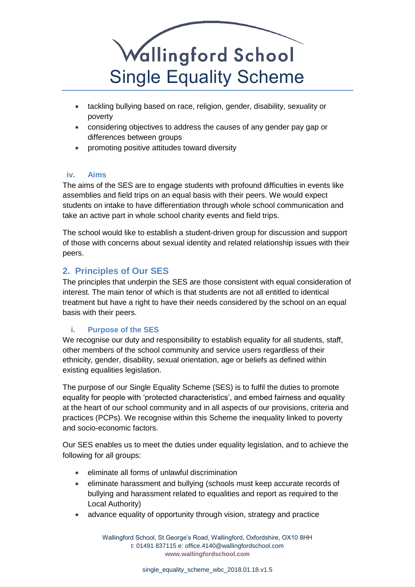

- tackling bullying based on race, religion, gender, disability, sexuality or poverty
- considering objectives to address the causes of any gender pay gap or differences between groups
- promoting positive attitudes toward diversity

### <span id="page-4-0"></span>**iv. Aims**

The aims of the SES are to engage students with profound difficulties in events like assemblies and field trips on an equal basis with their peers. We would expect students on intake to have differentiation through whole school communication and take an active part in whole school charity events and field trips.

The school would like to establish a student-driven group for discussion and support of those with concerns about sexual identity and related relationship issues with their peers.

## <span id="page-4-1"></span>**2. Principles of Our SES**

The principles that underpin the SES are those consistent with equal consideration of interest. The main tenor of which is that students are not all entitled to identical treatment but have a right to have their needs considered by the school on an equal basis with their peers.

### <span id="page-4-2"></span>**i. Purpose of the SES**

We recognise our duty and responsibility to establish equality for all students, staff, other members of the school community and service users regardless of their ethnicity, gender, disability, sexual orientation, age or beliefs as defined within existing equalities legislation.

The purpose of our Single Equality Scheme (SES) is to fulfil the duties to promote equality for people with 'protected characteristics', and embed fairness and equality at the heart of our school community and in all aspects of our provisions, criteria and practices (PCPs). We recognise within this Scheme the inequality linked to poverty and socio-economic factors.

Our SES enables us to meet the duties under equality legislation, and to achieve the following for all groups:

- eliminate all forms of unlawful discrimination
- eliminate harassment and bullying (schools must keep accurate records of bullying and harassment related to equalities and report as required to the Local Authority)
- advance equality of opportunity through vision, strategy and practice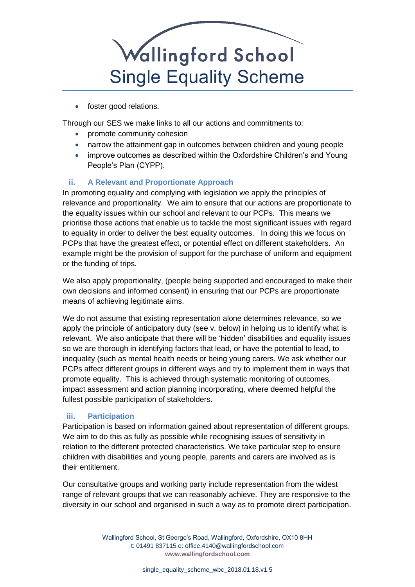• foster good relations.

Through our SES we make links to all our actions and commitments to:

- promote community cohesion
- narrow the attainment gap in outcomes between children and young people
- improve outcomes as described within the Oxfordshire Children's and Young People's Plan (CYPP).

### <span id="page-5-0"></span>**ii. A Relevant and Proportionate Approach**

In promoting equality and complying with legislation we apply the principles of relevance and proportionality. We aim to ensure that our actions are proportionate to the equality issues within our school and relevant to our PCPs. This means we prioritise those actions that enable us to tackle the most significant issues with regard to equality in order to deliver the best equality outcomes. In doing this we focus on PCPs that have the greatest effect, or potential effect on different stakeholders. An example might be the provision of support for the purchase of uniform and equipment or the funding of trips.

We also apply proportionality, (people being supported and encouraged to make their own decisions and informed consent) in ensuring that our PCPs are proportionate means of achieving legitimate aims.

We do not assume that existing representation alone determines relevance, so we apply the principle of anticipatory duty (see v. below) in helping us to identify what is relevant. We also anticipate that there will be 'hidden' disabilities and equality issues so we are thorough in identifying factors that lead, or have the potential to lead, to inequality (such as mental health needs or being young carers. We ask whether our PCPs affect different groups in different ways and try to implement them in ways that promote equality. This is achieved through systematic monitoring of outcomes, impact assessment and action planning incorporating, where deemed helpful the fullest possible participation of stakeholders.

### <span id="page-5-1"></span>**iii. Participation**

Participation is based on information gained about representation of different groups. We aim to do this as fully as possible while recognising issues of sensitivity in relation to the different protected characteristics. We take particular step to ensure children with disabilities and young people, parents and carers are involved as is their entitlement.

Our consultative groups and working party include representation from the widest range of relevant groups that we can reasonably achieve. They are responsive to the diversity in our school and organised in such a way as to promote direct participation.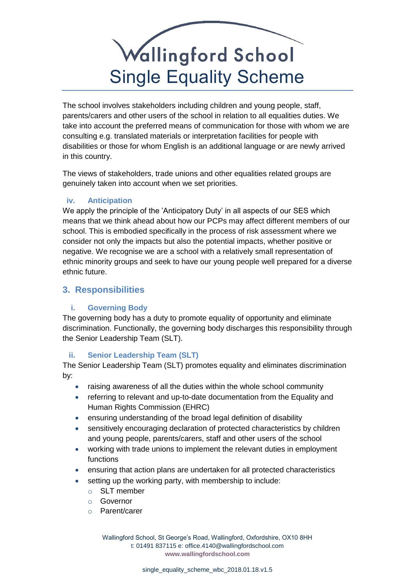The school involves stakeholders including children and young people, staff, parents/carers and other users of the school in relation to all equalities duties. We take into account the preferred means of communication for those with whom we are consulting e.g. translated materials or interpretation facilities for people with disabilities or those for whom English is an additional language or are newly arrived in this country.

The views of stakeholders, trade unions and other equalities related groups are genuinely taken into account when we set priorities.

### <span id="page-6-0"></span>**iv. Anticipation**

We apply the principle of the 'Anticipatory Duty' in all aspects of our SES which means that we think ahead about how our PCPs may affect different members of our school. This is embodied specifically in the process of risk assessment where we consider not only the impacts but also the potential impacts, whether positive or negative. We recognise we are a school with a relatively small representation of ethnic minority groups and seek to have our young people well prepared for a diverse ethnic future.

### <span id="page-6-1"></span>**3. Responsibilities**

### <span id="page-6-2"></span>**i. Governing Body**

The governing body has a duty to promote equality of opportunity and eliminate discrimination. Functionally, the governing body discharges this responsibility through the Senior Leadership Team (SLT).

### <span id="page-6-3"></span>**ii. Senior Leadership Team (SLT)**

The Senior Leadership Team (SLT) promotes equality and eliminates discrimination by:

- raising awareness of all the duties within the whole school community
- referring to relevant and up-to-date documentation from the Equality and Human Rights Commission (EHRC)
- ensuring understanding of the broad legal definition of disability
- sensitively encouraging declaration of protected characteristics by children and young people, parents/carers, staff and other users of the school
- working with trade unions to implement the relevant duties in employment functions
- ensuring that action plans are undertaken for all protected characteristics
- setting up the working party, with membership to include:
	- o SLT member
	- o Governor
	- o Parent/carer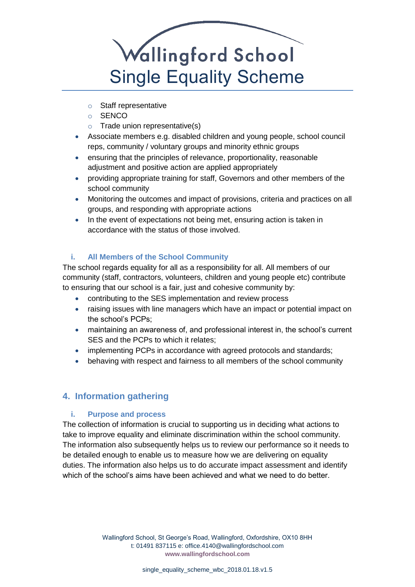- o Staff representative
- o SENCO
- $\circ$  Trade union representative(s)
- Associate members e.g. disabled children and young people, school council reps, community / voluntary groups and minority ethnic groups
- ensuring that the principles of relevance, proportionality, reasonable adjustment and positive action are applied appropriately
- providing appropriate training for staff, Governors and other members of the school community
- Monitoring the outcomes and impact of provisions, criteria and practices on all groups, and responding with appropriate actions
- In the event of expectations not being met, ensuring action is taken in accordance with the status of those involved.

### <span id="page-7-0"></span>**i. All Members of the School Community**

The school regards equality for all as a responsibility for all. All members of our community (staff, contractors, volunteers, children and young people etc) contribute to ensuring that our school is a fair, just and cohesive community by:

- contributing to the SES implementation and review process
- raising issues with line managers which have an impact or potential impact on the school's PCPs;
- maintaining an awareness of, and professional interest in, the school's current SES and the PCPs to which it relates;
- implementing PCPs in accordance with agreed protocols and standards;
- behaving with respect and fairness to all members of the school community

## <span id="page-7-1"></span>**4. Information gathering**

### <span id="page-7-2"></span>**i. Purpose and process**

The collection of information is crucial to supporting us in deciding what actions to take to improve equality and eliminate discrimination within the school community. The information also subsequently helps us to review our performance so it needs to be detailed enough to enable us to measure how we are delivering on equality duties. The information also helps us to do accurate impact assessment and identify which of the school's aims have been achieved and what we need to do better.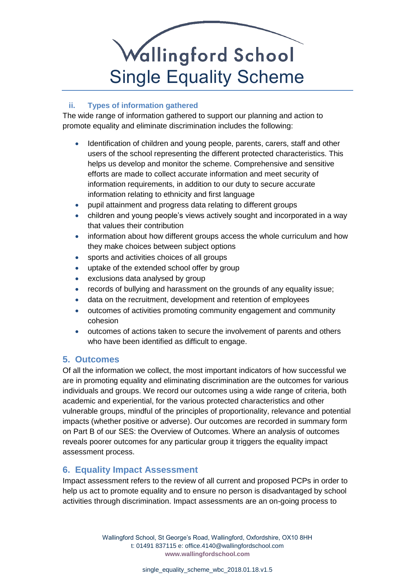### <span id="page-8-0"></span>**ii. Types of information gathered**

The wide range of information gathered to support our planning and action to promote equality and eliminate discrimination includes the following:

- Identification of children and young people, parents, carers, staff and other users of the school representing the different protected characteristics. This helps us develop and monitor the scheme. Comprehensive and sensitive efforts are made to collect accurate information and meet security of information requirements, in addition to our duty to secure accurate information relating to ethnicity and first language
- pupil attainment and progress data relating to different groups
- children and young people's views actively sought and incorporated in a way that values their contribution
- information about how different groups access the whole curriculum and how they make choices between subject options
- sports and activities choices of all groups
- uptake of the extended school offer by group
- exclusions data analysed by group
- records of bullying and harassment on the grounds of any equality issue;
- data on the recruitment, development and retention of employees
- outcomes of activities promoting community engagement and community cohesion
- outcomes of actions taken to secure the involvement of parents and others who have been identified as difficult to engage.

## <span id="page-8-1"></span>**5. Outcomes**

Of all the information we collect, the most important indicators of how successful we are in promoting equality and eliminating discrimination are the outcomes for various individuals and groups. We record our outcomes using a wide range of criteria, both academic and experiential, for the various protected characteristics and other vulnerable groups, mindful of the principles of proportionality, relevance and potential impacts (whether positive or adverse). Our outcomes are recorded in summary form on Part B of our SES: the Overview of Outcomes. Where an analysis of outcomes reveals poorer outcomes for any particular group it triggers the equality impact assessment process.

## <span id="page-8-2"></span>**6. Equality Impact Assessment**

Impact assessment refers to the review of all current and proposed PCPs in order to help us act to promote equality and to ensure no person is disadvantaged by school activities through discrimination. Impact assessments are an on-going process to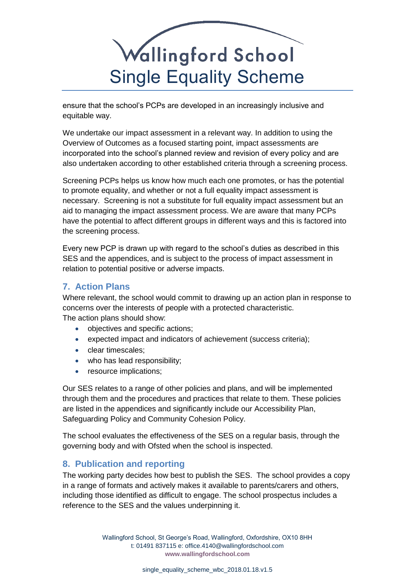ensure that the school's PCPs are developed in an increasingly inclusive and equitable way.

We undertake our impact assessment in a relevant way. In addition to using the Overview of Outcomes as a focused starting point, impact assessments are incorporated into the school's planned review and revision of every policy and are also undertaken according to other established criteria through a screening process.

Screening PCPs helps us know how much each one promotes, or has the potential to promote equality, and whether or not a full equality impact assessment is necessary. Screening is not a substitute for full equality impact assessment but an aid to managing the impact assessment process. We are aware that many PCPs have the potential to affect different groups in different ways and this is factored into the screening process.

Every new PCP is drawn up with regard to the school's duties as described in this SES and the appendices, and is subject to the process of impact assessment in relation to potential positive or adverse impacts.

## <span id="page-9-0"></span>**7. Action Plans**

Where relevant, the school would commit to drawing up an action plan in response to concerns over the interests of people with a protected characteristic. The action plans should show:

- objectives and specific actions;
- expected impact and indicators of achievement (success criteria);
- clear timescales:
- who has lead responsibility;
- resource implications:

Our SES relates to a range of other policies and plans, and will be implemented through them and the procedures and practices that relate to them. These policies are listed in the appendices and significantly include our Accessibility Plan, Safeguarding Policy and Community Cohesion Policy.

The school evaluates the effectiveness of the SES on a regular basis, through the governing body and with Ofsted when the school is inspected.

### <span id="page-9-1"></span>**8. Publication and reporting**

The working party decides how best to publish the SES. The school provides a copy in a range of formats and actively makes it available to parents/carers and others, including those identified as difficult to engage. The school prospectus includes a reference to the SES and the values underpinning it.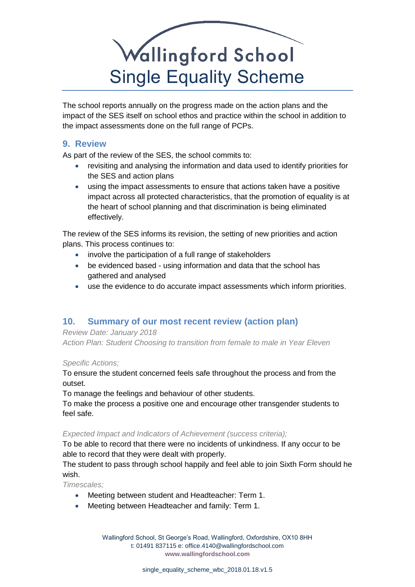The school reports annually on the progress made on the action plans and the impact of the SES itself on school ethos and practice within the school in addition to the impact assessments done on the full range of PCPs.

### <span id="page-10-0"></span>**9. Review**

As part of the review of the SES, the school commits to:

- revisiting and analysing the information and data used to identify priorities for the SES and action plans
- using the impact assessments to ensure that actions taken have a positive impact across all protected characteristics, that the promotion of equality is at the heart of school planning and that discrimination is being eliminated effectively.

The review of the SES informs its revision, the setting of new priorities and action plans. This process continues to:

- involve the participation of a full range of stakeholders
- be evidenced based using information and data that the school has gathered and analysed
- use the evidence to do accurate impact assessments which inform priorities.

## <span id="page-10-1"></span>**10. Summary of our most recent review (action plan)**

### *Review Date: January 2018*

*Action Plan: Student Choosing to transition from female to male in Year Eleven*

### *Specific Actions;*

To ensure the student concerned feels safe throughout the process and from the outset.

To manage the feelings and behaviour of other students.

To make the process a positive one and encourage other transgender students to feel safe.

### *Expected Impact and Indicators of Achievement (success criteria);*

To be able to record that there were no incidents of unkindness. If any occur to be able to record that they were dealt with properly.

The student to pass through school happily and feel able to join Sixth Form should he wish.

*Timescales;*

- Meeting between student and Headteacher: Term 1.
- Meeting between Headteacher and family: Term 1.